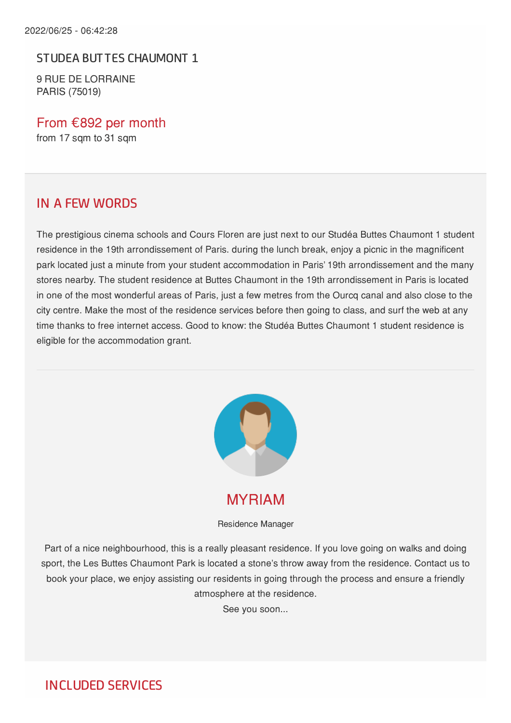STUDEA BUT TES CHAUMONT 1

9 RUE DE LORRAINE PARIS (75019)

From €892 per month from 17 sqm to 31 sqm

#### IN A FEW WORDS

The prestigious cinema schools and Cours Floren are just next to our Studéa Buttes Chaumont 1 student residence in the 19th arrondissement of Paris. during the lunch break, enjoy a picnic in the magnificent park located just a minute from your student accommodation in Paris' 19th arrondissement and the many stores nearby. The student residence at Buttes Chaumont in the 19th arrondissement in Paris is located in one of the most wonderful areas of Paris, just a few metres from the Ourcq canal and also close to the city centre. Make the most of the residence services before then going to class, and surf the web at any time thanks to free internet access. Good to know: the Studéa Buttes Chaumont 1 student residence is eligible for the accommodation grant.



MYRIAM

Residence Manager

Part of a nice neighbourhood, this is a really pleasant residence. If you love going on walks and doing sport, the Les Buttes Chaumont Park is located a stone's throw away from the residence. Contact us to book your place, we enjoy assisting our residents in going through the process and ensure a friendly atmosphere at the residence.

See you soon...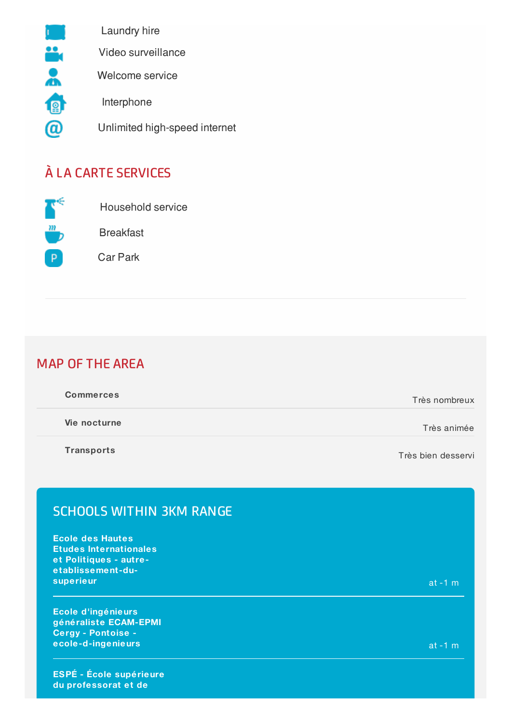

# À LA CARTE SERVICES



Breakfast

Household service

Car Park

### MAP OF THE AREA

| <b>Commerces</b> | Très nombreux |
|------------------|---------------|
| Vie nocturne     | Très animée   |

**Transports**

Très bien desservi

## SCHOOLS WITHIN 3KM RANGE

**Ecole des Hautes Etudes Internationales et Politiques - autreetablissement -dusuperieur** at -1 m

**Ecole d'ingénieurs généraliste ECAM-EPMI Cergy - Pontoise ecole-d-ingenieurs** at -1 m

**ESPÉ - École supérieure du professorat et de**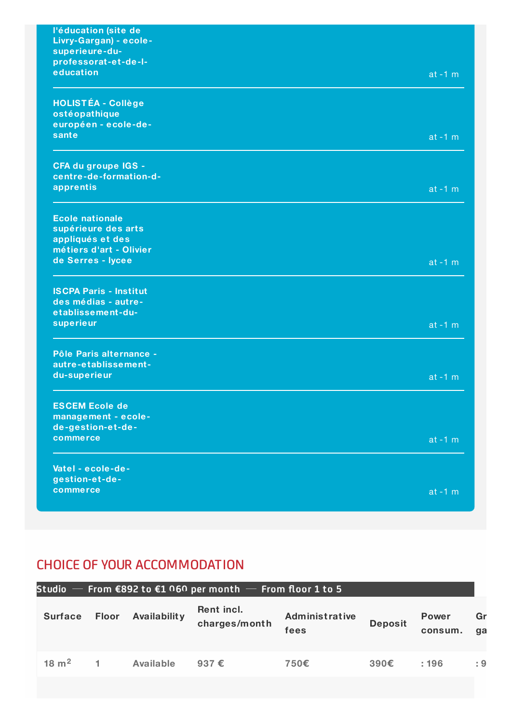| l'éducation (site de          |           |
|-------------------------------|-----------|
| Livry-Gargan) - ecole-        |           |
| superieure-du-                |           |
| professorat-et-de-I-          |           |
| education                     | $at -1 m$ |
|                               |           |
| <b>HOLISTÉA - Collège</b>     |           |
| ostéopathique                 |           |
| européen - ecole-de-          |           |
| sante                         | $at -1 m$ |
| CFA du groupe IGS -           |           |
| centre-de-formation-d-        |           |
| apprentis                     |           |
|                               | $at -1 m$ |
| <b>Ecole nationale</b>        |           |
| supérieure des arts           |           |
| appliqués et des              |           |
| métiers d'art - Olivier       |           |
| de Serres - lycee             | $at -1 m$ |
|                               |           |
| <b>ISCPA Paris - Institut</b> |           |
| des médias - autre-           |           |
| etablissement-du-             |           |
| superieur                     | $at -1 m$ |
|                               |           |
| Pôle Paris alternance -       |           |
| autre-etablissement-          |           |
| du-superieur                  | $at -1 m$ |
| <b>ESCEM Ecole de</b>         |           |
| management - ecole-           |           |
| de-gestion-et-de-             |           |
| commerce                      | $at -1 m$ |
|                               |           |
| Vatel - ecole-de-             |           |
| gestion-et-de-                |           |
| commerce                      | $at -1 m$ |
|                               |           |

## CHOICE OF YOUR ACCOMMODATION

#### **Surface Floor Availabilit y Rent incl. charges/mont h Administrative fees Deposit Power consum.** Gr **gases 18 m 1 Available 937 € 750€ 390€ : 196 : 9 2Studio From €892 to €1 060 per month From floor 1 to 5**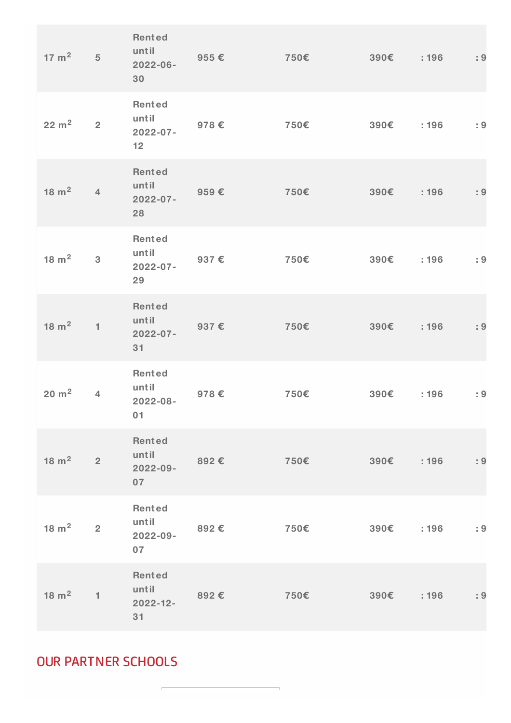| $17 \text{ m}^2$ 5 |                | Rented<br>until<br>$2022 - 06 -$<br>30              | $955 \in$ | $750\epsilon$                | 390€         | :196 | : 9         |
|--------------------|----------------|-----------------------------------------------------|-----------|------------------------------|--------------|------|-------------|
| $22 \text{ m}^2$ 2 |                | Rented<br>until<br>$2022 - 07 -$<br>12 <sub>1</sub> | 978€      | 750€                         | $390E$ : 196 |      | $\cdot$ : 9 |
| $18 \text{ m}^2$   | $\overline{4}$ | Rented<br>until<br>$2022 - 07 -$<br>28              | 959€      | 750€                         | 390€         | :196 | : 9         |
| $18 \text{ m}^2$ 3 |                | <b>Rented</b><br>until<br>$2022 - 07 -$<br>29       | 937€      | 750€                         | 390€         | :196 | : 9         |
| $18 \text{ m}^2$   | $\mathbf{1}$   | Rented<br>until<br>$2022 - 07 -$<br>31              | 937€      | 750€                         | 390€         | :196 | : 9         |
| $20 \text{ m}^2$   | $\overline{4}$ | Rented<br>until<br>$2022 - 08 -$<br>01              | 978€      | 750€                         | 390€         | :196 | : 9         |
| $18 \text{ m}^2$ 2 |                | Rented<br>until<br>$2022 - 09 -$<br>07              | 892E      | $750\epsilon$                | 390€         | :196 | : 9         |
| $18 \text{ m}^2$   | $\overline{2}$ | <b>Rented</b><br>until<br>2022-09-<br>07            | 892€      | $750\epsilon$ 390 $\epsilon$ |              | :196 | : 9         |
| $18 \text{ m}^2$   | $\mathbf{1}$   | Rented<br>until<br>$2022 - 12 -$<br>31              | 892€      | $750\epsilon$                | 390€         | :196 | : 9         |

OUR PARTNER SCHOOLS